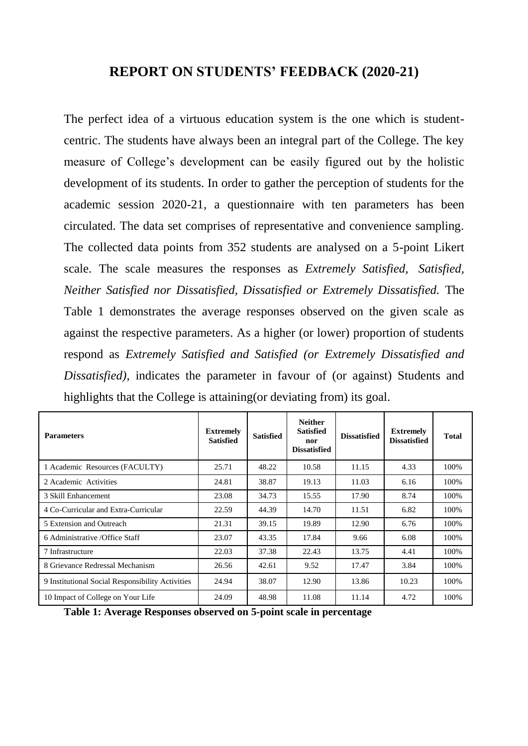## **REPORT ON STUDENTS' FEEDBACK (2020-21)**

The perfect idea of a virtuous education system is the one which is studentcentric. The students have always been an integral part of the College. The key measure of College's development can be easily figured out by the holistic development of its students. In order to gather the perception of students for the academic session 2020-21, a questionnaire with ten parameters has been circulated. The data set comprises of representative and convenience sampling. The collected data points from 352 students are analysed on a 5-point Likert scale. The scale measures the responses as *Extremely Satisfied, Satisfied, Neither Satisfied nor Dissatisfied, Dissatisfied or Extremely Dissatisfied.* The Table 1 demonstrates the average responses observed on the given scale as against the respective parameters. As a higher (or lower) proportion of students respond as *Extremely Satisfied and Satisfied (or Extremely Dissatisfied and Dissatisfied),* indicates the parameter in favour of (or against) Students and highlights that the College is attaining(or deviating from) its goal.

| <b>Parameters</b>                                | <b>Extremely</b><br><b>Satisfied</b> | <b>Satisfied</b> | <b>Neither</b><br><b>Satisfied</b><br>nor<br><b>Dissatisfied</b> | <b>Dissatisfied</b> | <b>Extremely</b><br><b>Dissatisfied</b> | <b>Total</b> |
|--------------------------------------------------|--------------------------------------|------------------|------------------------------------------------------------------|---------------------|-----------------------------------------|--------------|
| 1 Academic Resources (FACULTY)                   | 25.71                                | 48.22            | 10.58                                                            | 11.15               | 4.33                                    | 100%         |
| 2 Academic Activities                            | 24.81                                | 38.87            | 19.13                                                            | 11.03               | 6.16                                    | 100%         |
| 3 Skill Enhancement                              | 23.08                                | 34.73            | 15.55                                                            | 17.90               | 8.74                                    | 100%         |
| 4 Co-Curricular and Extra-Curricular             | 22.59                                | 44.39            | 14.70                                                            | 11.51               | 6.82                                    | 100%         |
| 5 Extension and Outreach                         | 21.31                                | 39.15            | 19.89                                                            | 12.90               | 6.76                                    | 100%         |
| 6 Administrative / Office Staff                  | 23.07                                | 43.35            | 17.84                                                            | 9.66                | 6.08                                    | 100%         |
| 7 Infrastructure                                 | 22.03                                | 37.38            | 22.43                                                            | 13.75               | 4.41                                    | 100%         |
| 8 Grievance Redressal Mechanism                  | 26.56                                | 42.61            | 9.52                                                             | 17.47               | 3.84                                    | 100%         |
| 9 Institutional Social Responsibility Activities | 24.94                                | 38.07            | 12.90                                                            | 13.86               | 10.23                                   | 100%         |
| 10 Impact of College on Your Life                | 24.09                                | 48.98            | 11.08                                                            | 11.14               | 4.72                                    | 100%         |

**Table 1: Average Responses observed on 5-point scale in percentage**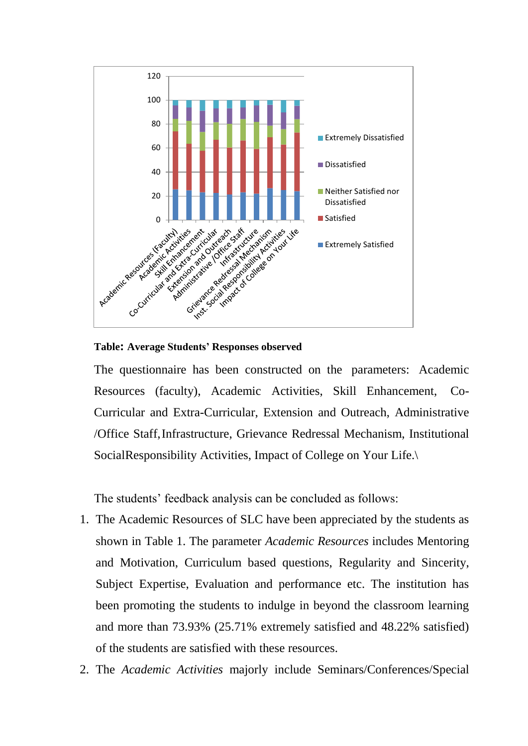

**Table: Average Students' Responses observed** 

The questionnaire has been constructed on the parameters: Academic Resources (faculty), Academic Activities, Skill Enhancement, Co-Curricular and Extra-Curricular, Extension and Outreach, Administrative /Office Staff,Infrastructure, Grievance Redressal Mechanism, Institutional SocialResponsibility Activities, Impact of College on Your Life.\

The students' feedback analysis can be concluded as follows:

- 1. The Academic Resources of SLC have been appreciated by the students as shown in Table 1. The parameter *Academic Resources* includes Mentoring and Motivation, Curriculum based questions, Regularity and Sincerity, Subject Expertise, Evaluation and performance etc. The institution has been promoting the students to indulge in beyond the classroom learning and more than 73.93% (25.71% extremely satisfied and 48.22% satisfied) of the students are satisfied with these resources.
- 2. The *Academic Activities* majorly include Seminars/Conferences/Special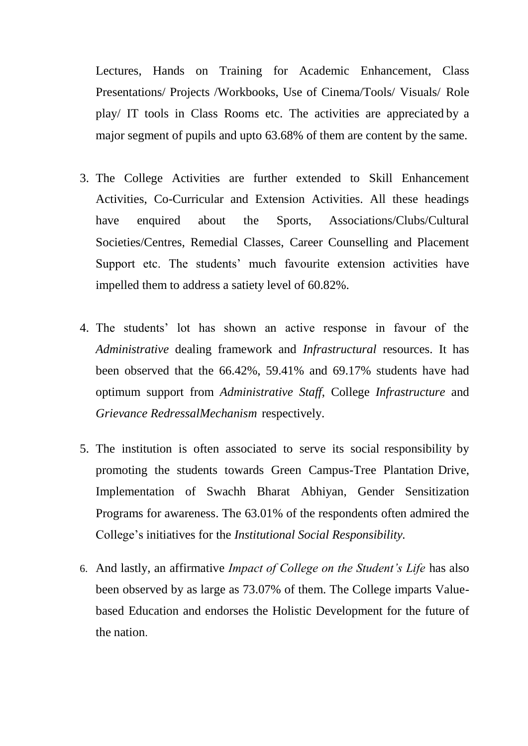Lectures, Hands on Training for Academic Enhancement, Class Presentations/ Projects /Workbooks, Use of Cinema/Tools/ Visuals/ Role play/ IT tools in Class Rooms etc. The activities are appreciated by a major segment of pupils and upto 63.68% of them are content by the same.

- 3. The College Activities are further extended to Skill Enhancement Activities, Co-Curricular and Extension Activities. All these headings have enquired about the Sports, Associations/Clubs/Cultural Societies/Centres, Remedial Classes, Career Counselling and Placement Support etc. The students' much favourite extension activities have impelled them to address a satiety level of 60.82%.
- 4. The students' lot has shown an active response in favour of the *Administrative* dealing framework and *Infrastructural* resources. It has been observed that the 66.42%, 59.41% and 69.17% students have had optimum support from *Administrative Staff*, College *Infrastructure* and *Grievance RedressalMechanism* respectively.
- 5. The institution is often associated to serve its social responsibility by promoting the students towards Green Campus-Tree Plantation Drive, Implementation of Swachh Bharat Abhiyan, Gender Sensitization Programs for awareness. The 63.01% of the respondents often admired the College's initiatives for the *Institutional Social Responsibility.*
- 6. And lastly, an affirmative *Impact of College on the Student's Life* has also been observed by as large as 73.07% of them. The College imparts Valuebased Education and endorses the Holistic Development for the future of the nation.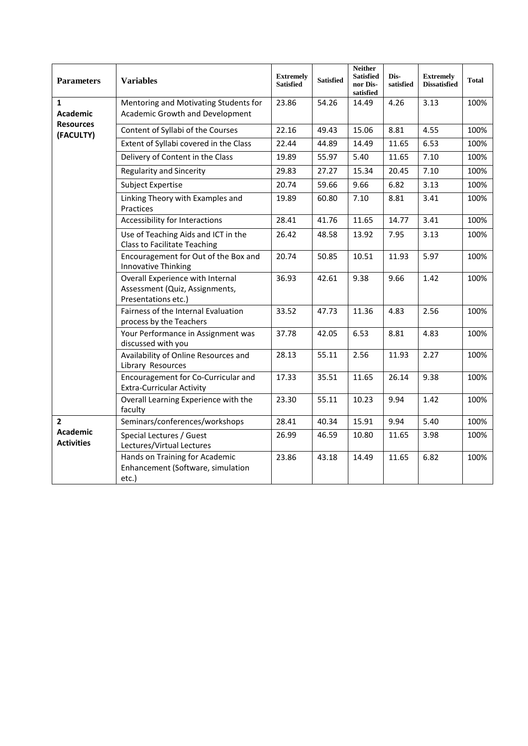| <b>Parameters</b>                                      | <b>Variables</b>                                                                          | <b>Extremely</b><br><b>Satisfied</b> | <b>Satisfied</b> | <b>Neither</b><br><b>Satisfied</b><br>nor Dis-<br>satisfied | Dis-<br>satisfied | <b>Extremely</b><br><b>Dissatisfied</b> | <b>Total</b> |
|--------------------------------------------------------|-------------------------------------------------------------------------------------------|--------------------------------------|------------------|-------------------------------------------------------------|-------------------|-----------------------------------------|--------------|
| 1<br><b>Academic</b><br><b>Resources</b><br>(FACULTY)  | Mentoring and Motivating Students for<br>Academic Growth and Development                  | 23.86                                | 54.26            | 14.49                                                       | 4.26              | 3.13                                    | 100%         |
|                                                        | Content of Syllabi of the Courses                                                         | 22.16                                | 49.43            | 15.06                                                       | 8.81              | 4.55                                    | 100%         |
|                                                        | Extent of Syllabi covered in the Class                                                    | 22.44                                | 44.89            | 14.49                                                       | 11.65             | 6.53                                    | 100%         |
|                                                        | Delivery of Content in the Class                                                          | 19.89                                | 55.97            | 5.40                                                        | 11.65             | 7.10                                    | 100%         |
|                                                        | <b>Regularity and Sincerity</b>                                                           | 29.83                                | 27.27            | 15.34                                                       | 20.45             | 7.10                                    | 100%         |
|                                                        | Subject Expertise                                                                         | 20.74                                | 59.66            | 9.66                                                        | 6.82              | 3.13                                    | 100%         |
|                                                        | Linking Theory with Examples and<br>Practices                                             | 19.89                                | 60.80            | 7.10                                                        | 8.81              | 3.41                                    | 100%         |
|                                                        | Accessibility for Interactions                                                            | 28.41                                | 41.76            | 11.65                                                       | 14.77             | 3.41                                    | 100%         |
|                                                        | Use of Teaching Aids and ICT in the<br><b>Class to Facilitate Teaching</b>                | 26.42                                | 48.58            | 13.92                                                       | 7.95              | 3.13                                    | 100%         |
|                                                        | Encouragement for Out of the Box and<br>Innovative Thinking                               | 20.74                                | 50.85            | 10.51                                                       | 11.93             | 5.97                                    | 100%         |
|                                                        | Overall Experience with Internal<br>Assessment (Quiz, Assignments,<br>Presentations etc.) | 36.93                                | 42.61            | 9.38                                                        | 9.66              | 1.42                                    | 100%         |
|                                                        | Fairness of the Internal Evaluation<br>process by the Teachers                            | 33.52                                | 47.73            | 11.36                                                       | 4.83              | 2.56                                    | 100%         |
|                                                        | Your Performance in Assignment was<br>discussed with you                                  | 37.78                                | 42.05            | 6.53                                                        | 8.81              | 4.83                                    | 100%         |
|                                                        | Availability of Online Resources and<br>Library Resources                                 | 28.13                                | 55.11            | 2.56                                                        | 11.93             | 2.27                                    | 100%         |
|                                                        | Encouragement for Co-Curricular and<br><b>Extra-Curricular Activity</b>                   | 17.33                                | 35.51            | 11.65                                                       | 26.14             | 9.38                                    | 100%         |
|                                                        | Overall Learning Experience with the<br>faculty                                           | 23.30                                | 55.11            | 10.23                                                       | 9.94              | 1.42                                    | 100%         |
| $\overline{2}$<br><b>Academic</b><br><b>Activities</b> | Seminars/conferences/workshops                                                            | 28.41                                | 40.34            | 15.91                                                       | 9.94              | 5.40                                    | 100%         |
|                                                        | Special Lectures / Guest<br>Lectures/Virtual Lectures                                     | 26.99                                | 46.59            | 10.80                                                       | 11.65             | 3.98                                    | 100%         |
|                                                        | Hands on Training for Academic<br>Enhancement (Software, simulation<br>etc.)              | 23.86                                | 43.18            | 14.49                                                       | 11.65             | 6.82                                    | 100%         |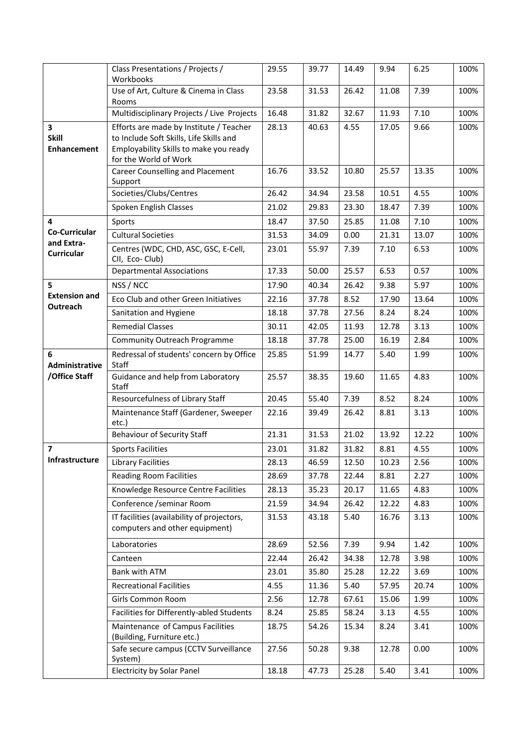|                                         | Class Presentations / Projects /<br>Workbooks                                                                                                         | 29.55 | 39.77 | 14.49 | 9.94  | 6.25  | 100% |
|-----------------------------------------|-------------------------------------------------------------------------------------------------------------------------------------------------------|-------|-------|-------|-------|-------|------|
|                                         | Use of Art, Culture & Cinema in Class<br>Rooms                                                                                                        | 23.58 | 31.53 | 26.42 | 11.08 | 7.39  | 100% |
|                                         | Multidisciplinary Projects / Live Projects                                                                                                            | 16.48 | 31.82 | 32.67 | 11.93 | 7.10  | 100% |
| 3<br><b>Skill</b><br><b>Enhancement</b> | Efforts are made by Institute / Teacher<br>to Include Soft Skills, Life Skills and<br>Employability Skills to make you ready<br>for the World of Work | 28.13 | 40.63 | 4.55  | 17.05 | 9.66  | 100% |
|                                         | <b>Career Counselling and Placement</b><br>Support                                                                                                    | 16.76 | 33.52 | 10.80 | 25.57 | 13.35 | 100% |
|                                         | Societies/Clubs/Centres                                                                                                                               | 26.42 | 34.94 | 23.58 | 10.51 | 4.55  | 100% |
|                                         | Spoken English Classes                                                                                                                                | 21.02 | 29.83 | 23.30 | 18.47 | 7.39  | 100% |
| 4                                       | Sports                                                                                                                                                | 18.47 | 37.50 | 25.85 | 11.08 | 7.10  | 100% |
| Co-Curricular                           | <b>Cultural Societies</b>                                                                                                                             | 31.53 | 34.09 | 0.00  | 21.31 | 13.07 | 100% |
| and Extra-<br><b>Curricular</b>         | Centres (WDC, CHD, ASC, GSC, E-Cell,<br>CII, Eco-Club)                                                                                                | 23.01 | 55.97 | 7.39  | 7.10  | 6.53  | 100% |
|                                         | <b>Departmental Associations</b>                                                                                                                      | 17.33 | 50.00 | 25.57 | 6.53  | 0.57  | 100% |
| 5                                       | NSS / NCC                                                                                                                                             | 17.90 | 40.34 | 26.42 | 9.38  | 5.97  | 100% |
| <b>Extension and</b><br>Outreach        | Eco Club and other Green Initiatives                                                                                                                  | 22.16 | 37.78 | 8.52  | 17.90 | 13.64 | 100% |
|                                         | Sanitation and Hygiene                                                                                                                                | 18.18 | 37.78 | 27.56 | 8.24  | 8.24  | 100% |
|                                         | <b>Remedial Classes</b>                                                                                                                               | 30.11 | 42.05 | 11.93 | 12.78 | 3.13  | 100% |
|                                         | <b>Community Outreach Programme</b>                                                                                                                   | 18.18 | 37.78 | 25.00 | 16.19 | 2.84  | 100% |
| 6<br>Administrative<br>/Office Staff    | Redressal of students' concern by Office<br>Staff                                                                                                     | 25.85 | 51.99 | 14.77 | 5.40  | 1.99  | 100% |
|                                         | Guidance and help from Laboratory<br>Staff                                                                                                            | 25.57 | 38.35 | 19.60 | 11.65 | 4.83  | 100% |
|                                         | Resourcefulness of Library Staff                                                                                                                      | 20.45 | 55.40 | 7.39  | 8.52  | 8.24  | 100% |
|                                         | Maintenance Staff (Gardener, Sweeper<br>etc.)                                                                                                         | 22.16 | 39.49 | 26.42 | 8.81  | 3.13  | 100% |
|                                         | <b>Behaviour of Security Staff</b>                                                                                                                    | 21.31 | 31.53 | 21.02 | 13.92 | 12.22 | 100% |
| $\overline{\mathbf{z}}$                 | <b>Sports Facilities</b>                                                                                                                              | 23.01 | 31.82 | 31.82 | 8.81  | 4.55  | 100% |
| Infrastructure                          | <b>Library Facilities</b>                                                                                                                             | 28.13 | 46.59 | 12.50 | 10.23 | 2.56  | 100% |
|                                         | <b>Reading Room Facilities</b>                                                                                                                        | 28.69 | 37.78 | 22.44 | 8.81  | 2.27  | 100% |
|                                         | Knowledge Resource Centre Facilities                                                                                                                  | 28.13 | 35.23 | 20.17 | 11.65 | 4.83  | 100% |
|                                         | Conference /seminar Room                                                                                                                              | 21.59 | 34.94 | 26.42 | 12.22 | 4.83  | 100% |
|                                         | IT facilities (availability of projectors,<br>computers and other equipment)                                                                          | 31.53 | 43.18 | 5.40  | 16.76 | 3.13  | 100% |
|                                         | Laboratories                                                                                                                                          | 28.69 | 52.56 | 7.39  | 9.94  | 1.42  | 100% |
|                                         | Canteen                                                                                                                                               | 22.44 | 26.42 | 34.38 | 12.78 | 3.98  | 100% |
|                                         | Bank with ATM                                                                                                                                         | 23.01 | 35.80 | 25.28 | 12.22 | 3.69  | 100% |
|                                         | <b>Recreational Facilities</b>                                                                                                                        | 4.55  | 11.36 | 5.40  | 57.95 | 20.74 | 100% |
|                                         | Girls Common Room                                                                                                                                     | 2.56  | 12.78 | 67.61 | 15.06 | 1.99  | 100% |
|                                         | Facilities for Differently-abled Students                                                                                                             | 8.24  | 25.85 | 58.24 | 3.13  | 4.55  | 100% |
|                                         | Maintenance of Campus Facilities<br>(Building, Furniture etc.)                                                                                        | 18.75 | 54.26 | 15.34 | 8.24  | 3.41  | 100% |
|                                         | Safe secure campus (CCTV Surveillance<br>System)                                                                                                      | 27.56 | 50.28 | 9.38  | 12.78 | 0.00  | 100% |
|                                         | <b>Electricity by Solar Panel</b>                                                                                                                     | 18.18 | 47.73 | 25.28 | 5.40  | 3.41  | 100% |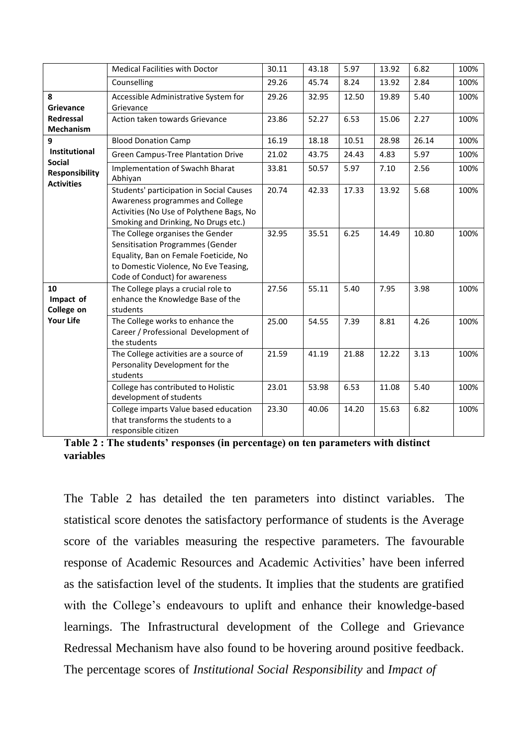|                                                                              | <b>Medical Facilities with Doctor</b>                                                                                                                                                    | 30.11 | 43.18 | 5.97  | 13.92 | 6.82  | 100% |
|------------------------------------------------------------------------------|------------------------------------------------------------------------------------------------------------------------------------------------------------------------------------------|-------|-------|-------|-------|-------|------|
|                                                                              | Counselling                                                                                                                                                                              | 29.26 | 45.74 | 8.24  | 13.92 | 2.84  | 100% |
| 8<br>Grievance                                                               | Accessible Administrative System for<br>Grievance                                                                                                                                        | 29.26 | 32.95 | 12.50 | 19.89 | 5.40  | 100% |
| Redressal<br><b>Mechanism</b>                                                | Action taken towards Grievance                                                                                                                                                           | 23.86 | 52.27 | 6.53  | 15.06 | 2.27  | 100% |
| 9                                                                            | <b>Blood Donation Camp</b>                                                                                                                                                               | 16.19 | 18.18 | 10.51 | 28.98 | 26.14 | 100% |
| Institutional<br><b>Social</b><br><b>Responsibility</b><br><b>Activities</b> | <b>Green Campus-Tree Plantation Drive</b>                                                                                                                                                | 21.02 | 43.75 | 24.43 | 4.83  | 5.97  | 100% |
|                                                                              | Implementation of Swachh Bharat<br>Abhiyan                                                                                                                                               | 33.81 | 50.57 | 5.97  | 7.10  | 2.56  | 100% |
|                                                                              | Students' participation in Social Causes<br>Awareness programmes and College<br>Activities (No Use of Polythene Bags, No<br>Smoking and Drinking, No Drugs etc.)                         | 20.74 | 42.33 | 17.33 | 13.92 | 5.68  | 100% |
|                                                                              | The College organises the Gender<br>Sensitisation Programmes (Gender<br>Equality, Ban on Female Foeticide, No<br>to Domestic Violence, No Eve Teasing,<br>Code of Conduct) for awareness | 32.95 | 35.51 | 6.25  | 14.49 | 10.80 | 100% |
| 10<br>Impact of<br>College on                                                | The College plays a crucial role to<br>enhance the Knowledge Base of the<br>students                                                                                                     | 27.56 | 55.11 | 5.40  | 7.95  | 3.98  | 100% |
| <b>Your Life</b>                                                             | The College works to enhance the<br>Career / Professional Development of<br>the students                                                                                                 | 25.00 | 54.55 | 7.39  | 8.81  | 4.26  | 100% |
|                                                                              | The College activities are a source of<br>Personality Development for the<br>students                                                                                                    | 21.59 | 41.19 | 21.88 | 12.22 | 3.13  | 100% |
|                                                                              | College has contributed to Holistic<br>development of students                                                                                                                           | 23.01 | 53.98 | 6.53  | 11.08 | 5.40  | 100% |
|                                                                              | College imparts Value based education<br>that transforms the students to a<br>responsible citizen                                                                                        | 23.30 | 40.06 | 14.20 | 15.63 | 6.82  | 100% |

**Table 2 : The students' responses (in percentage) on ten parameters with distinct variables**

The Table 2 has detailed the ten parameters into distinct variables. The statistical score denotes the satisfactory performance of students is the Average score of the variables measuring the respective parameters. The favourable response of Academic Resources and Academic Activities' have been inferred as the satisfaction level of the students. It implies that the students are gratified with the College's endeavours to uplift and enhance their knowledge-based learnings. The Infrastructural development of the College and Grievance Redressal Mechanism have also found to be hovering around positive feedback. The percentage scores of *Institutional Social Responsibility* and *Impact of*